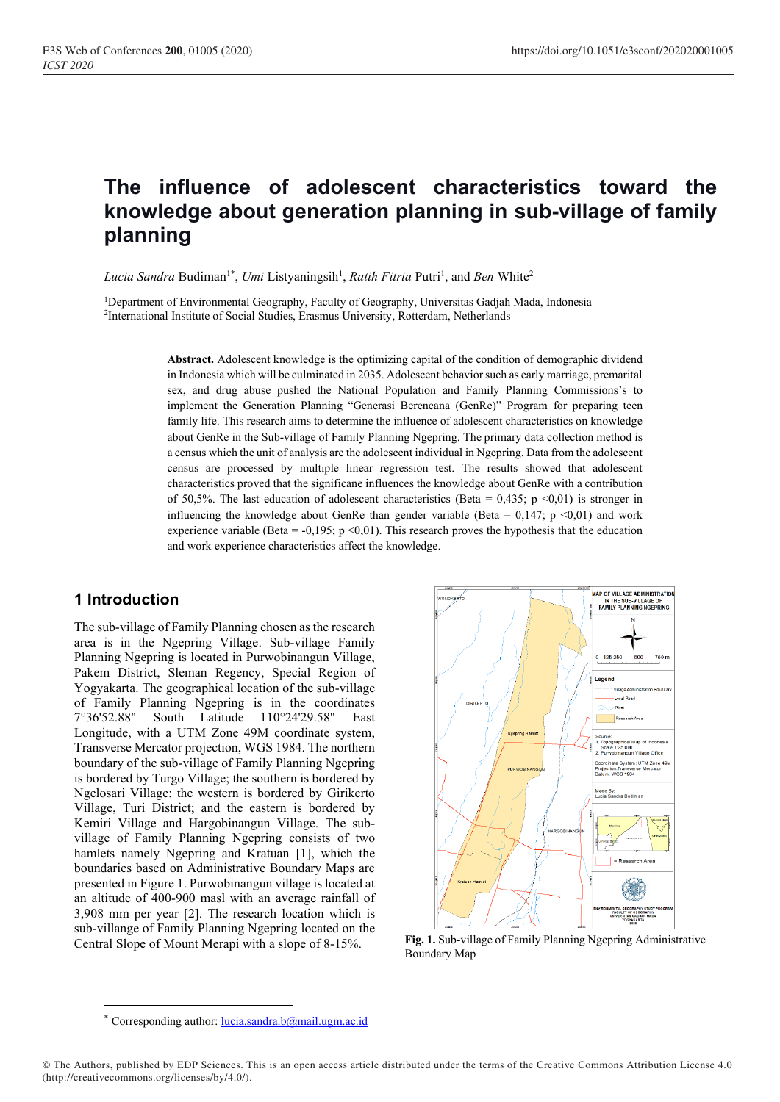# **The influence of adolescent characteristics toward the knowledge about generation planning in sub-village of family planning**

Lucia Sandra Budiman<sup>1\*</sup>, Umi Listyaningsih<sup>1</sup>, Ratih Fitria Putri<sup>1</sup>, and Ben White<sup>2</sup>

<sup>1</sup>Department of Environmental Geography, Faculty of Geography, Universitas Gadjah Mada, Indonesia <sup>2</sup>International Institute of Social Studies, Erasmus University, Rotterdam, Netherlands

> **Abstract.** Adolescent knowledge is the optimizing capital of the condition of demographic dividend in Indonesia which will be culminated in 2035. Adolescent behavior such as early marriage, premarital sex, and drug abuse pushed the National Population and Family Planning Commissions's to implement the Generation Planning "Generasi Berencana (GenRe)" Program for preparing teen family life. This research aims to determine the influence of adolescent characteristics on knowledge about GenRe in the Sub-village of Family Planning Ngepring. The primary data collection method is a census which the unit of analysis are the adolescent individual in Ngepring. Data from the adolescent census are processed by multiple linear regression test. The results showed that adolescent characteristics proved that the significane influences the knowledge about GenRe with a contribution of 50,5%. The last education of adolescent characteristics (Beta = 0,435; p <0,01) is stronger in influencing the knowledge about GenRe than gender variable (Beta =  $0,147$ ; p <0,01) and work experience variable (Beta = -0,195; p <0,01). This research proves the hypothesis that the education and work experience characteristics affect the knowledge.

# **1 Introduction**

The sub-village of Family Planning chosen as the research area is in the Ngepring Village. Sub-village Family Planning Ngepring is located in Purwobinangun Village, Pakem District, Sleman Regency, Special Region of Yogyakarta. The geographical location of the sub-village of Family Planning Ngepring is in the coordinates<br>7°36'52.88" South Latitude 110°24'29.58" East South Latitude 110°24'29.58" East Longitude, with a UTM Zone 49M coordinate system, Transverse Mercator projection, WGS 1984. The northern boundary of the sub-village of Family Planning Ngepring is bordered by Turgo Village; the southern is bordered by Ngelosari Village; the western is bordered by Girikerto Village, Turi District; and the eastern is bordered by Kemiri Village and Hargobinangun Village. The subvillage of Family Planning Ngepring consists of two hamlets namely Ngepring and Kratuan [1], which the boundaries based on Administrative Boundary Maps are presented in Figure 1. Purwobinangun village is located at an altitude of 400-900 masl with an average rainfall of 3,908 mm per year [2]. The research location which is sub-villange of Family Planning Ngepring located on the Central Slope of Mount Merapi with a slope of 8-15%.



**Fig. 1.** Sub-village of Family Planning Ngepring Administrative Boundary Map

© The Authors, published by EDP Sciences. This is an open access article distributed under the terms of the Creative Commons Attribution License 4.0 (http://creativecommons.org/licenses/by/4.0/).

Corresponding author[: lucia.sandra.b@mail.ugm.ac.id](mailto:lucia.sandra.b@mail.ugm.ac.id)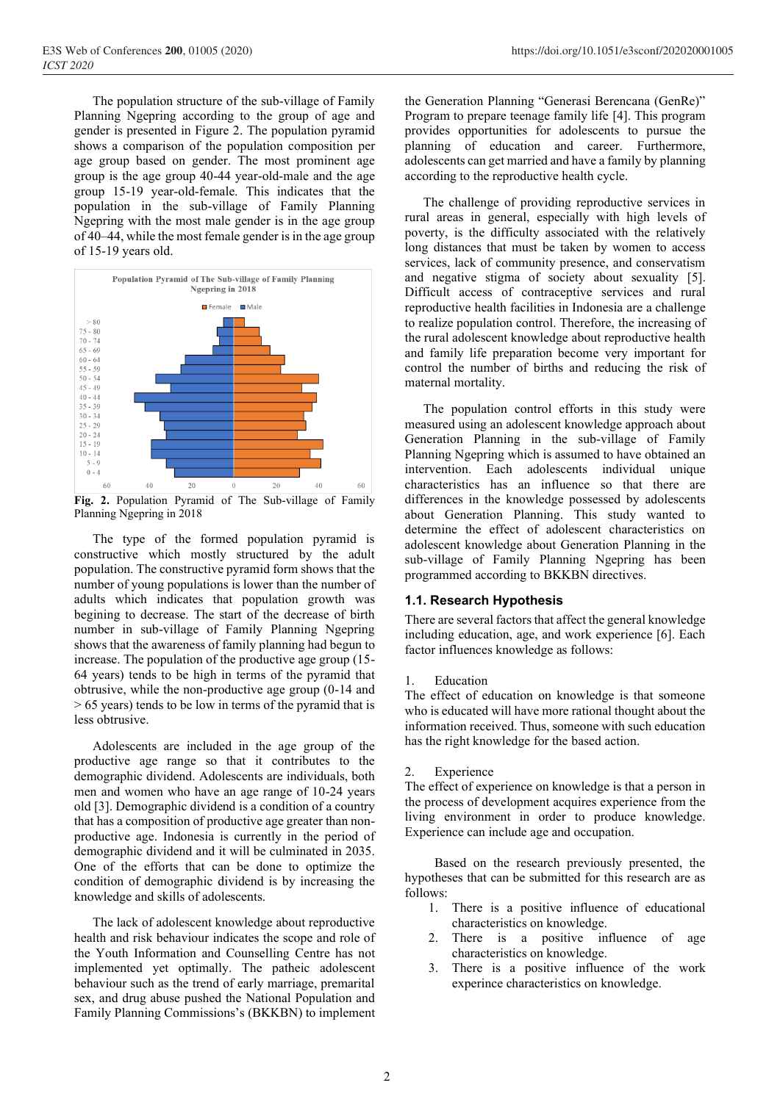The population structure of the sub-village of Family Planning Ngepring according to the group of age and gender is presented in Figure 2. The population pyramid shows a comparison of the population composition per age group based on gender. The most prominent age group is the age group 40-44 year-old-male and the age group 15-19 year-old-female. This indicates that the population in the sub-village of Family Planning Ngepring with the most male gender is in the age group of 40–44, while the most female gender is in the age group of 15-19 years old.



**Fig. 2.** Population Pyramid of The Sub-village of Family Planning Ngepring in 2018

The type of the formed population pyramid is constructive which mostly structured by the adult population. The constructive pyramid form shows that the number of young populations is lower than the number of adults which indicates that population growth was begining to decrease. The start of the decrease of birth number in sub-village of Family Planning Ngepring shows that the awareness of family planning had begun to increase. The population of the productive age group (15- 64 years) tends to be high in terms of the pyramid that obtrusive, while the non-productive age group (0-14 and > 65 years) tends to be low in terms of the pyramid that is less obtrusive.

Adolescents are included in the age group of the productive age range so that it contributes to the demographic dividend. Adolescents are individuals, both men and women who have an age range of 10-24 years old [3]. Demographic dividend is a condition of a country that has a composition of productive age greater than nonproductive age. Indonesia is currently in the period of demographic dividend and it will be culminated in 2035. One of the efforts that can be done to optimize the condition of demographic dividend is by increasing the knowledge and skills of adolescents.

The lack of adolescent knowledge about reproductive health and risk behaviour indicates the scope and role of the Youth Information and Counselling Centre has not implemented yet optimally. The patheic adolescent behaviour such as the trend of early marriage, premarital sex, and drug abuse pushed the National Population and Family Planning Commissions's (BKKBN) to implement

the Generation Planning "Generasi Berencana (GenRe)" Program to prepare teenage family life [4]. This program provides opportunities for adolescents to pursue the planning of education and career. Furthermore, adolescents can get married and have a family by planning according to the reproductive health cycle.

The challenge of providing reproductive services in rural areas in general, especially with high levels of poverty, is the difficulty associated with the relatively long distances that must be taken by women to access services, lack of community presence, and conservatism and negative stigma of society about sexuality [5]. Difficult access of contraceptive services and rural reproductive health facilities in Indonesia are a challenge to realize population control. Therefore, the increasing of the rural adolescent knowledge about reproductive health and family life preparation become very important for control the number of births and reducing the risk of maternal mortality.

The population control efforts in this study were measured using an adolescent knowledge approach about Generation Planning in the sub-village of Family Planning Ngepring which is assumed to have obtained an intervention. Each adolescents individual unique characteristics has an influence so that there are differences in the knowledge possessed by adolescents about Generation Planning. This study wanted to determine the effect of adolescent characteristics on adolescent knowledge about Generation Planning in the sub-village of Family Planning Ngepring has been programmed according to BKKBN directives.

#### **1.1. Research Hypothesis**

There are several factors that affect the general knowledge including education, age, and work experience [6]. Each factor influences knowledge as follows:

#### 1. Education

The effect of education on knowledge is that someone who is educated will have more rational thought about the information received. Thus, someone with such education has the right knowledge for the based action.

#### 2. Experience

The effect of experience on knowledge is that a person in the process of development acquires experience from the living environment in order to produce knowledge. Experience can include age and occupation.

Based on the research previously presented, the hypotheses that can be submitted for this research are as follows:

- 1. There is a positive influence of educational characteristics on knowledge.
- 2. There is a positive influence of age characteristics on knowledge.
- 3. There is a positive influence of the work experince characteristics on knowledge.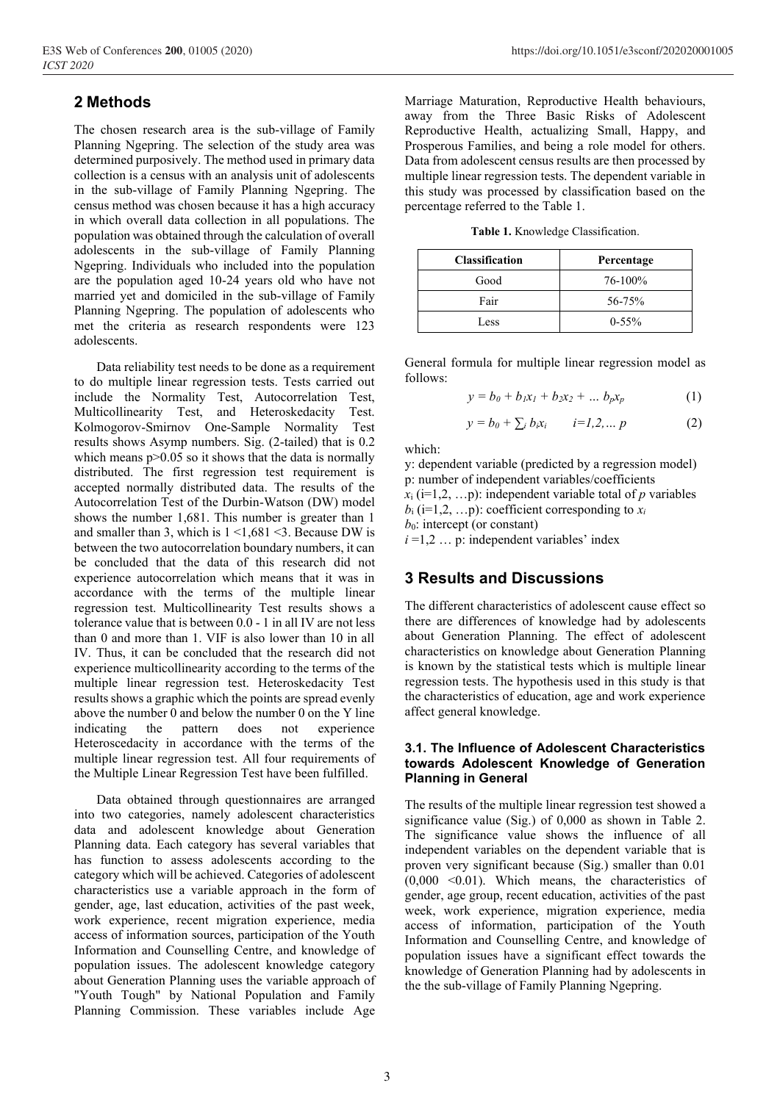# **2 Methods**

The chosen research area is the sub-village of Family Planning Ngepring. The selection of the study area was determined purposively. The method used in primary data collection is a census with an analysis unit of adolescents in the sub-village of Family Planning Ngepring. The census method was chosen because it has a high accuracy in which overall data collection in all populations. The population was obtained through the calculation of overall adolescents in the sub-village of Family Planning Ngepring. Individuals who included into the population are the population aged 10-24 years old who have not married yet and domiciled in the sub-village of Family Planning Ngepring. The population of adolescents who met the criteria as research respondents were 123 adolescents.

Data reliability test needs to be done as a requirement to do multiple linear regression tests. Tests carried out include the Normality Test, Autocorrelation Test, Multicollinearity Test, and Heteroskedacity Test. Kolmogorov-Smirnov One-Sample Normality Test results shows Asymp numbers. Sig. (2-tailed) that is 0.2 which means  $p > 0.05$  so it shows that the data is normally distributed. The first regression test requirement is accepted normally distributed data. The results of the Autocorrelation Test of the Durbin-Watson (DW) model shows the number 1,681. This number is greater than 1 and smaller than 3, which is  $1 \le 1,681 \le 3$ . Because DW is between the two autocorrelation boundary numbers, it can be concluded that the data of this research did not experience autocorrelation which means that it was in accordance with the terms of the multiple linear regression test. Multicollinearity Test results shows a tolerance value that is between 0.0 - 1 in all IV are not less than 0 and more than 1. VIF is also lower than 10 in all IV. Thus, it can be concluded that the research did not experience multicollinearity according to the terms of the multiple linear regression test. Heteroskedacity Test results shows a graphic which the points are spread evenly above the number 0 and below the number 0 on the Y line indicating the pattern does not experience Heteroscedacity in accordance with the terms of the multiple linear regression test. All four requirements of the Multiple Linear Regression Test have been fulfilled.

Data obtained through questionnaires are arranged into two categories, namely adolescent characteristics data and adolescent knowledge about Generation Planning data. Each category has several variables that has function to assess adolescents according to the category which will be achieved. Categories of adolescent characteristics use a variable approach in the form of gender, age, last education, activities of the past week, work experience, recent migration experience, media access of information sources, participation of the Youth Information and Counselling Centre, and knowledge of population issues. The adolescent knowledge category about Generation Planning uses the variable approach of "Youth Tough" by National Population and Family Planning Commission. These variables include Age

Marriage Maturation, Reproductive Health behaviours, away from the Three Basic Risks of Adolescent Reproductive Health, actualizing Small, Happy, and Prosperous Families, and being a role model for others. Data from adolescent census results are then processed by multiple linear regression tests. The dependent variable in this study was processed by classification based on the percentage referred to the Table 1.

**Table 1.** Knowledge Classification.

| <b>Classification</b> | Percentage |
|-----------------------|------------|
| Good                  | 76-100%    |
| Fair                  | 56-75%     |
| Less                  | $0-55%$    |

General formula for multiple linear regression model as follows:

$$
y = b_0 + b_1 x_1 + b_2 x_2 + \dots b_p x_p \tag{1}
$$

$$
y = b_0 + \sum_i b_i x_i \qquad i=1,2,\ldots p \qquad (2)
$$

which:

y: dependent variable (predicted by a regression model) p: number of independent variables/coefficients  $x_i$  (i=1,2, ...p): independent variable total of *p* variables  $b_i$  (i=1,2, ...p): coefficient corresponding to  $x_i$  $b_0$ : intercept (or constant)  $i = 1, 2, \ldots$  p: independent variables' index

## **3 Results and Discussions**

The different characteristics of adolescent cause effect so there are differences of knowledge had by adolescents about Generation Planning. The effect of adolescent characteristics on knowledge about Generation Planning is known by the statistical tests which is multiple linear regression tests. The hypothesis used in this study is that the characteristics of education, age and work experience affect general knowledge.

#### **3.1. The Influence of Adolescent Characteristics towards Adolescent Knowledge of Generation Planning in General**

The results of the multiple linear regression test showed a significance value (Sig.) of 0,000 as shown in Table 2. The significance value shows the influence of all independent variables on the dependent variable that is proven very significant because (Sig.) smaller than 0.01 (0,000 <0.01). Which means, the characteristics of gender, age group, recent education, activities of the past week, work experience, migration experience, media access of information, participation of the Youth Information and Counselling Centre, and knowledge of population issues have a significant effect towards the knowledge of Generation Planning had by adolescents in the the sub-village of Family Planning Ngepring.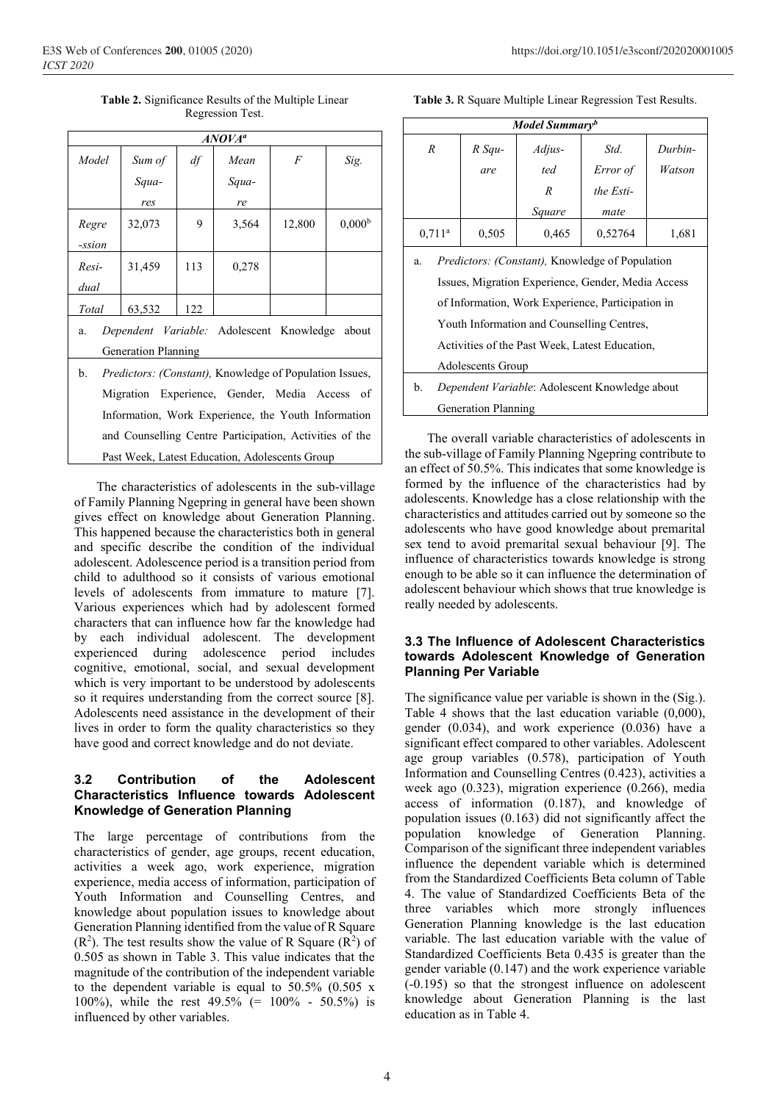**Table 2.** Significance Results of the Multiple Linear Regression Test.

| $ANOVA^a$                                                             |        |     |       |                |                    |
|-----------------------------------------------------------------------|--------|-----|-------|----------------|--------------------|
| Model                                                                 | Sum of | df  | Mean  | $\overline{F}$ | Sig.               |
|                                                                       | Squa-  |     | Squa- |                |                    |
|                                                                       | res    |     | re    |                |                    |
| Regre                                                                 | 32,073 | 9   | 3,564 | 12,800         | 0.000 <sup>b</sup> |
| -ssion                                                                |        |     |       |                |                    |
| Resi-                                                                 | 31,459 | 113 | 0,278 |                |                    |
| dual                                                                  |        |     |       |                |                    |
| Total                                                                 | 63,532 | 122 |       |                |                    |
| Dependent Variable: Adolescent Knowledge about<br>a.                  |        |     |       |                |                    |
| <b>Generation Planning</b>                                            |        |     |       |                |                    |
| b.<br><i>Predictors: (Constant)</i> , Knowledge of Population Issues, |        |     |       |                |                    |
| Migration Experience, Gender, Media Access of                         |        |     |       |                |                    |
| Information, Work Experience, the Youth Information                   |        |     |       |                |                    |
| and Counselling Centre Participation, Activities of the               |        |     |       |                |                    |
| Past Week, Latest Education, Adolescents Group                        |        |     |       |                |                    |

The characteristics of adolescents in the sub-village of Family Planning Ngepring in general have been shown gives effect on knowledge about Generation Planning. This happened because the characteristics both in general and specific describe the condition of the individual adolescent. Adolescence period is a transition period from child to adulthood so it consists of various emotional levels of adolescents from immature to mature [7]. Various experiences which had by adolescent formed characters that can influence how far the knowledge had by each individual adolescent. The development experienced during adolescence period includes cognitive, emotional, social, and sexual development which is very important to be understood by adolescents so it requires understanding from the correct source [8]. Adolescents need assistance in the development of their lives in order to form the quality characteristics so they have good and correct knowledge and do not deviate.

### **3.2 Contribution of the Adolescent Characteristics Influence towards Adolescent Knowledge of Generation Planning**

The large percentage of contributions from the characteristics of gender, age groups, recent education, activities a week ago, work experience, migration experience, media access of information, participation of Youth Information and Counselling Centres, and knowledge about population issues to knowledge about Generation Planning identified from the value of R Square  $(R<sup>2</sup>)$ . The test results show the value of R Square  $(R<sup>2</sup>)$  of 0.505 as shown in Table 3. This value indicates that the magnitude of the contribution of the independent variable to the dependent variable is equal to 50.5% (0.505 x 100%), while the rest 49.5% (= 100% - 50.5%) is influenced by other variables.

**Table 3.** R Square Multiple Linear Regression Test Results.

| Model Summary <sup>b</sup>                                    |          |        |           |         |  |
|---------------------------------------------------------------|----------|--------|-----------|---------|--|
| $\boldsymbol{R}$                                              | $R$ Squ- | Adjus- | Std.      | Durbin- |  |
|                                                               | are      | ted    | Error of  | Watson  |  |
|                                                               |          | R      | the Esti- |         |  |
|                                                               |          | Square | mate      |         |  |
| $0,711^a$                                                     | 0,505    | 0,465  | 0,52764   | 1,681   |  |
| <i>Predictors: (Constant)</i> , Knowledge of Population<br>a. |          |        |           |         |  |
| Issues, Migration Experience, Gender, Media Access            |          |        |           |         |  |
| of Information, Work Experience, Participation in             |          |        |           |         |  |
| Youth Information and Counselling Centres,                    |          |        |           |         |  |
| Activities of the Past Week, Latest Education,                |          |        |           |         |  |
| Adolescents Group                                             |          |        |           |         |  |
| Dependent Variable: Adolescent Knowledge about<br>b.          |          |        |           |         |  |
| <b>Generation Planning</b>                                    |          |        |           |         |  |

The overall variable characteristics of adolescents in the sub-village of Family Planning Ngepring contribute to an effect of 50.5%. This indicates that some knowledge is formed by the influence of the characteristics had by adolescents. Knowledge has a close relationship with the characteristics and attitudes carried out by someone so the adolescents who have good knowledge about premarital sex tend to avoid premarital sexual behaviour [9]. The influence of characteristics towards knowledge is strong enough to be able so it can influence the determination of adolescent behaviour which shows that true knowledge is really needed by adolescents.

#### **3.3 The Influence of Adolescent Characteristics towards Adolescent Knowledge of Generation Planning Per Variable**

The significance value per variable is shown in the (Sig.). Table 4 shows that the last education variable (0,000), gender (0.034), and work experience (0.036) have a significant effect compared to other variables. Adolescent age group variables (0.578), participation of Youth Information and Counselling Centres (0.423), activities a week ago (0.323), migration experience (0.266), media access of information (0.187), and knowledge of population issues (0.163) did not significantly affect the population knowledge of Generation Planning. Comparison of the significant three independent variables influence the dependent variable which is determined from the Standardized Coefficients Beta column of Table 4. The value of Standardized Coefficients Beta of the three variables which more strongly influences Generation Planning knowledge is the last education variable. The last education variable with the value of Standardized Coefficients Beta 0.435 is greater than the gender variable (0.147) and the work experience variable (-0.195) so that the strongest influence on adolescent knowledge about Generation Planning is the last education as in Table 4.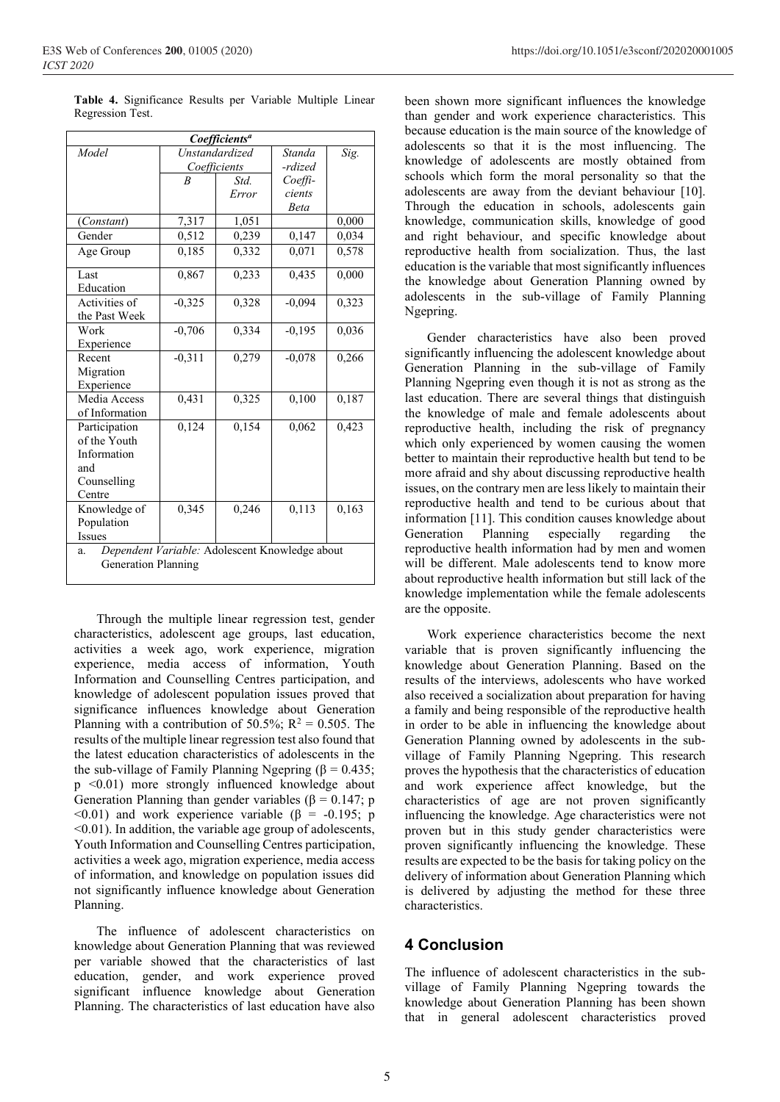| Coefficients <sup>a</sup>                            |                  |       |          |       |  |  |
|------------------------------------------------------|------------------|-------|----------|-------|--|--|
| Model                                                | Unstandardized   |       | Standa   | Sig.  |  |  |
|                                                      | Coefficients     |       | -rdized  |       |  |  |
|                                                      | $\boldsymbol{B}$ | Std.  | Coeffi-  |       |  |  |
|                                                      |                  | Error | cients   |       |  |  |
|                                                      |                  |       | Beta     |       |  |  |
| (Constant)                                           | 7,317            | 1,051 |          | 0,000 |  |  |
| Gender                                               | 0,512            | 0,239 | 0,147    | 0,034 |  |  |
| Age Group                                            | 0,185            | 0,332 | 0,071    | 0,578 |  |  |
| Last                                                 | 0,867            | 0,233 | 0,435    | 0,000 |  |  |
| Education                                            |                  |       |          |       |  |  |
| Activities of                                        | $-0,325$         | 0,328 | $-0,094$ | 0,323 |  |  |
| the Past Week                                        |                  |       |          |       |  |  |
| Work                                                 | $-0,706$         | 0,334 | $-0,195$ | 0,036 |  |  |
| Experience                                           |                  |       |          |       |  |  |
| Recent                                               | $-0,311$         | 0,279 | $-0.078$ | 0,266 |  |  |
| Migration                                            |                  |       |          |       |  |  |
| Experience                                           |                  |       |          |       |  |  |
| Media Access                                         | 0,431            | 0,325 | 0,100    | 0,187 |  |  |
| of Information                                       |                  |       |          |       |  |  |
| Participation                                        | 0,124            | 0,154 | 0,062    | 0,423 |  |  |
| of the Youth                                         |                  |       |          |       |  |  |
| Information                                          |                  |       |          |       |  |  |
| and                                                  |                  |       |          |       |  |  |
| Counselling                                          |                  |       |          |       |  |  |
| Centre                                               |                  |       |          |       |  |  |
| Knowledge of                                         | 0,345            | 0,246 | 0,113    | 0,163 |  |  |
| Population                                           |                  |       |          |       |  |  |
| <b>Issues</b>                                        |                  |       |          |       |  |  |
| Dependent Variable: Adolescent Knowledge about<br>a. |                  |       |          |       |  |  |
| <b>Generation Planning</b>                           |                  |       |          |       |  |  |
|                                                      |                  |       |          |       |  |  |

**Table 4.** Significance Results per Variable Multiple Linear Regression Test.

Through the multiple linear regression test, gender characteristics, adolescent age groups, last education, activities a week ago, work experience, migration experience, media access of information, Youth Information and Counselling Centres participation, and knowledge of adolescent population issues proved that significance influences knowledge about Generation Planning with a contribution of 50.5%;  $R^2 = 0.505$ . The results of the multiple linear regression test also found that the latest education characteristics of adolescents in the the sub-village of Family Planning Ngepring (β = 0.435; p <0.01) more strongly influenced knowledge about Generation Planning than gender variables ( $\beta = 0.147$ ; p  $\leq 0.01$ ) and work experience variable ( $\beta$  = -0.195; p  $\leq 0.01$ ). In addition, the variable age group of adolescents, Youth Information and Counselling Centres participation, activities a week ago, migration experience, media access of information, and knowledge on population issues did not significantly influence knowledge about Generation Planning.

The influence of adolescent characteristics on knowledge about Generation Planning that was reviewed per variable showed that the characteristics of last education, gender, and work experience proved significant influence knowledge about Generation Planning. The characteristics of last education have also

been shown more significant influences the knowledge than gender and work experience characteristics. This because education is the main source of the knowledge of adolescents so that it is the most influencing. The knowledge of adolescents are mostly obtained from schools which form the moral personality so that the adolescents are away from the deviant behaviour [10]. Through the education in schools, adolescents gain knowledge, communication skills, knowledge of good and right behaviour, and specific knowledge about reproductive health from socialization. Thus, the last education is the variable that most significantly influences the knowledge about Generation Planning owned by adolescents in the sub-village of Family Planning Ngepring.

Gender characteristics have also been proved significantly influencing the adolescent knowledge about Generation Planning in the sub-village of Family Planning Ngepring even though it is not as strong as the last education. There are several things that distinguish the knowledge of male and female adolescents about reproductive health, including the risk of pregnancy which only experienced by women causing the women better to maintain their reproductive health but tend to be more afraid and shy about discussing reproductive health issues, on the contrary men are less likely to maintain their reproductive health and tend to be curious about that information [11]. This condition causes knowledge about Generation Planning especially regarding the reproductive health information had by men and women will be different. Male adolescents tend to know more about reproductive health information but still lack of the knowledge implementation while the female adolescents are the opposite.

Work experience characteristics become the next variable that is proven significantly influencing the knowledge about Generation Planning. Based on the results of the interviews, adolescents who have worked also received a socialization about preparation for having a family and being responsible of the reproductive health in order to be able in influencing the knowledge about Generation Planning owned by adolescents in the subvillage of Family Planning Ngepring. This research proves the hypothesis that the characteristics of education and work experience affect knowledge, but the characteristics of age are not proven significantly influencing the knowledge. Age characteristics were not proven but in this study gender characteristics were proven significantly influencing the knowledge. These results are expected to be the basis for taking policy on the delivery of information about Generation Planning which is delivered by adjusting the method for these three characteristics.

## **4 Conclusion**

The influence of adolescent characteristics in the subvillage of Family Planning Ngepring towards the knowledge about Generation Planning has been shown that in general adolescent characteristics proved